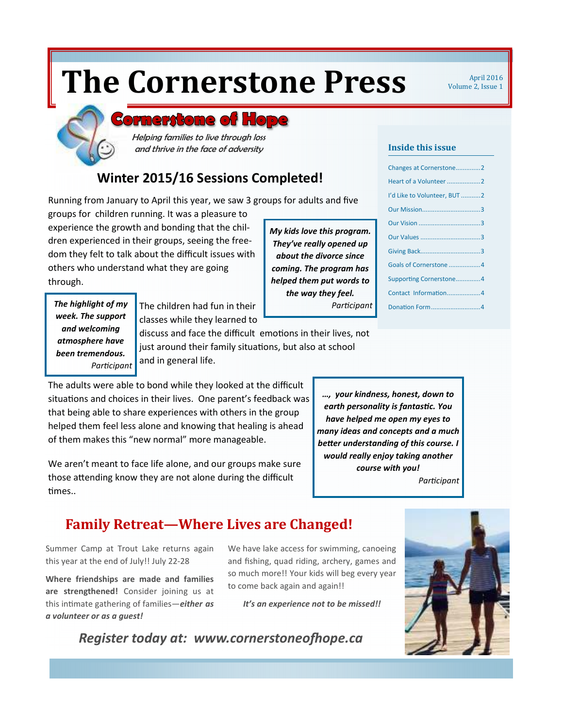# **The Cornerstone Press Mapril 2016**

Volume 2, Issue 1

## **Bornerstone of Ho**

Helping families to live through loss and thrive in the face of adversity

## **Winter 2015/16 Sessions Completed!**

Running from January to April this year, we saw 3 groups for adults and five

groups for children running. It was a pleasure to experience the growth and bonding that the children experienced in their groups, seeing the freedom they felt to talk about the difficult issues with others who understand what they are going through.

*My kids love this program. They've really opened up about the divorce since coming. The program has helped them put words to the way they feel.* 

**Inside this issue** 

| Changes at Cornerstone2      |
|------------------------------|
|                              |
| I'd Like to Volunteer, BUT 2 |
|                              |
|                              |
|                              |
|                              |
| Goals of Cornerstone  4      |
| Supporting Cornerstone4      |
| Contact Information4         |
| Donation Form4               |

*week. The support and welcoming atmosphere have been tremendous. Parcipant* 

**The highlight of my** The children had fun in their *Participant* classes while they learned to discuss and face the difficult emotions in their lives, not just around their family situations, but also at school and in general life.

The adults were able to bond while they looked at the difficult situations and choices in their lives. One parent's feedback was that being able to share experiences with others in the group helped them feel less alone and knowing that healing is ahead of them makes this "new normal" more manageable.

We aren't meant to face life alone, and our groups make sure those attending know they are not alone during the difficult times..

*…, your kindness, honest, down to*   $earth$  personality is fantastic. You *have helped me open my eyes to many ideas and concepts and a much*  **better understanding of this course. I** *would really enjoy taking another course with you! Parcipant* 

## **Family Retreat—Where Lives are Changed!**

*Register today at: www.cornerstoneofhope.ca* 

Summer Camp at Trout Lake returns again this year at the end of July!! July 22-28

**Where friendships are made and families are strengthened!** Consider joining us at this intimate gathering of families—*either as a volunteer or as a guest!* 

We have lake access for swimming, canoeing and fishing, quad riding, archery, games and so much more!! Your kids will beg every year to come back again and again!!

*It's an experience not to be missed!!* 

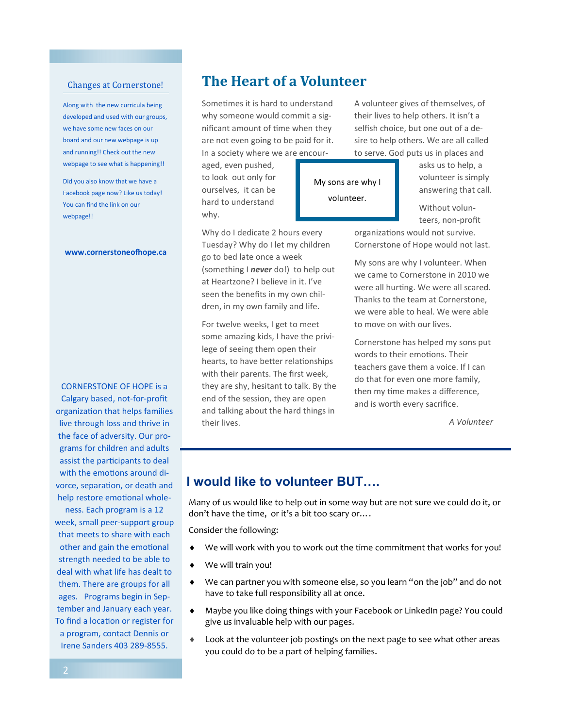#### Changes at Cornerstone!

Along with the new curricula being developed and used with our groups, we have some new faces on our board and our new webpage is up and running!! Check out the new webpage to see what is happening!!

Did you also know that we have a Facebook page now? Like us today! You can find the link on our webpage!!

#### www.cornerstoneofhope.ca

CORNERSTONE OF HOPE is a Calgary based, not-for-profit organization that helps families live through loss and thrive in the face of adversity. Our programs for children and adults assist the participants to deal with the emotions around divorce, separation, or death and help restore emotional whole-

ness. Each program is a 12 week, small peer-support group that meets to share with each other and gain the emotional strength needed to be able to deal with what life has dealt to them. There are groups for all ages. Programs begin in September and January each year. To find a location or register for a program, contact Dennis or Irene Sanders 403 289-8555.

## **The Heart of a Volunteer**

Sometimes it is hard to understand why someone would commit a significant amount of time when they are not even going to be paid for it. In a society where we are encour-

aged, even pushed, to look out only for ourselves, it can be hard to understand why.

Why do I dedicate 2 hours every Tuesday? Why do I let my children go to bed late once a week (something I *never* do!) to help out at Heartzone? I believe in it. I've seen the benefits in my own children, in my own family and life.

For twelve weeks, I get to meet some amazing kids, I have the privilege of seeing them open their hearts, to have better relationships with their parents. The first week, they are shy, hesitant to talk. By the end of the session, they are open and talking about the hard things in their lives.

A volunteer gives of themselves, of their lives to help others. It isn't a selfish choice, but one out of a desire to help others. We are all called to serve. God puts us in places and

> asks us to help, a volunteer is simply answering that call.

Without volunteers, non-profit

organizations would not survive. Cornerstone of Hope would not last.

My sons are why I volunteer. When we came to Cornerstone in 2010 we were all hurting. We were all scared. Thanks to the team at Cornerstone, we were able to heal. We were able to move on with our lives.

Cornerstone has helped my sons put words to their emotions. Their teachers gave them a voice. If I can do that for even one more family, then my time makes a difference, and is worth every sacrifice.

*A Volunteer* 

#### **I would like to volunteer BUT….**

Many of us would like to help out in some way but are not sure we could do it, or don't have the time, or it's a bit too scary or….

My sons are why I volunteer.

Consider the following:

- We will work with you to work out the time commitment that works for you!
- We will train you!
- ♦ We can partner you with someone else, so you learn "on the job" and do not have to take full responsibility all at once.
- ♦ Maybe you like doing things with your Facebook or LinkedIn page? You could give us invaluable help with our pages.
- Look at the volunteer job postings on the next page to see what other areas you could do to be a part of helping families.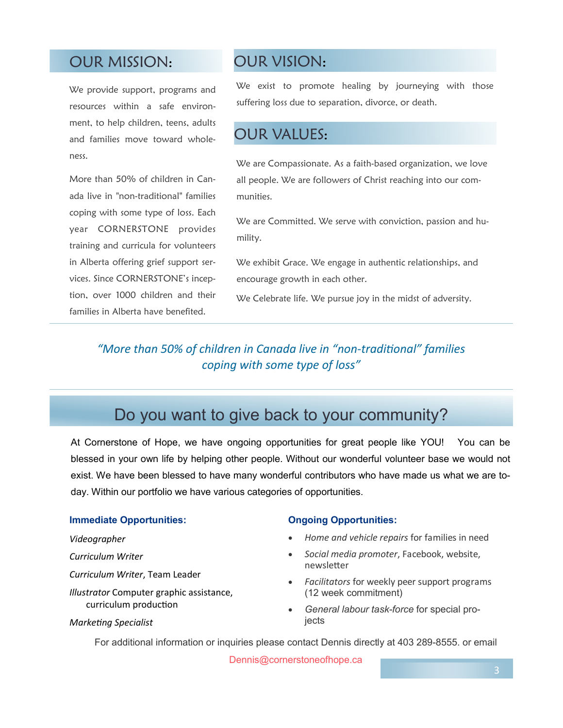## OUR MISSION:

We provide support, programs and resources within a safe environment, to help children, teens, adults and families move toward wholeness.

More than 50% of children in Canada live in "non-traditional" families coping with some type of loss. Each year CORNERSTONE provides training and curricula for volunteers in Alberta offering grief support services. Since CORNERSTONE's inception, over 1000 children and their families in Alberta have benefited.

## OUR VISION:

We exist to promote healing by journeying with those suffering loss due to separation, divorce, or death.

## OUR VALUES:

We are Compassionate. As a faith-based organization, we love all people. We are followers of Christ reaching into our communities.

We are Committed. We serve with conviction, passion and humility.

We exhibit Grace. We engage in authentic relationships, and encourage growth in each other.

We Celebrate life. We pursue joy in the midst of adversity.

#### "More than 50% of children in Canada live in "non-traditional" families *coping with some type of loss"*

## Do you want to give back to your community?

At Cornerstone of Hope, we have ongoing opportunities for great people like YOU! You can be blessed in your own life by helping other people. Without our wonderful volunteer base we would not exist. We have been blessed to have many wonderful contributors who have made us what we are today. Within our portfolio we have various categories of opportunities.

#### **Immediate Opportunities:**

#### *Videographer*

*Curriculum Writer* 

*Curriculum Writer*, Team Leader

*Illustrator* Computer graphic assistance, curriculum production

#### **Ongoing Opportunities:**

- *Home and vehicle repairs* for families in need
- *Social media promoter*, Facebook, website, newsletter
- *Facilitators* for weekly peer support programs (12 week commitment)
- *General labour task-force* for special projects

**Marketing Specialist** 

For additional information or inquiries please contact Dennis directly at 403 289-8555. or email

Dennis@cornerstoneofhope.ca